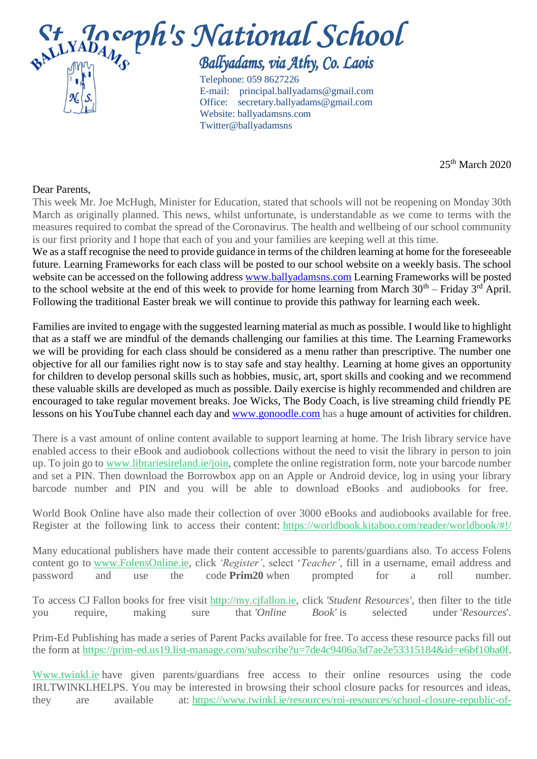## St Joseph's National School Telephone: 059 8627226 E-mail: [principal.ballyadams@gmail.com](mailto:principal.ballyadams@gmail.com)

 Office: [secretary.ballyadams@gmail.com](mailto:secretary.ballyadams@gmail.com) Website: ballyadamsns.com Twitter@ballyadamsns

25th March 2020

## Dear Parents,

This week Mr. Joe McHugh, Minister for Education, stated that schools will not be reopening on Monday 30th March as originally planned. This news, whilst unfortunate, is understandable as we come to terms with the measures required to combat the spread of the Coronavirus. The health and wellbeing of our school community is our first priority and I hope that each of you and your families are keeping well at this time.

We as a staff recognise the need to provide guidance in terms of the children learning at home for the foreseeable future. Learning Frameworks for each class will be posted to our school website on a weekly basis. The school website can be accessed on the following address [www.ballyadamsns.com](http://www.ballyadamsns.com/) Learning Frameworks will be posted to the school website at the end of this week to provide for home learning from March  $30<sup>th</sup>$  – Friday  $3<sup>rd</sup>$  April. Following the traditional Easter break we will continue to provide this pathway for learning each week.

Families are invited to engage with the suggested learning material as much as possible. I would like to highlight that as a staff we are mindful of the demands challenging our families at this time. The Learning Frameworks we will be providing for each class should be considered as a menu rather than prescriptive. The number one objective for all our families right now is to stay safe and stay healthy. Learning at home gives an opportunity for children to develop personal skills such as hobbies, music, art, sport skills and cooking and we recommend these valuable skills are developed as much as possible. Daily exercise is highly recommended and children are encouraged to take regular movement breaks. Joe Wicks, The Body Coach, is live streaming child friendly PE lessons on his YouTube channel each day and [www.gonoodle.com](http://www.gonoodle.com/) has a huge amount of activities for children.

There is a vast amount of online content available to support learning at home. The Irish library service have enabled access to their eBook and audiobook collections without the need to visit the library in person to join up. To join go to [www.librariesireland.ie/join,](http://www.librariesireland.ie/join) complete the online registration form, note your barcode number and set a PIN. Then download the Borrowbox app on an Apple or Android device, log in using your library barcode number and PIN and you will be able to download eBooks and audiobooks for free.

World Book Online have also made their collection of over 3000 eBooks and audiobooks available for free. Register at the following link to access their content: <https://worldbook.kitaboo.com/reader/worldbook/#!/>

Many educational publishers have made their content accessible to parents/guardians also. To access Folens content go to [www.FolensOnline.ie,](http://www.folensonline.ie/) click *'Register'*, select '*Teacher'*, fill in a username, email address and password and use the code **Prim20** when prompted for a roll number.

To access CJ Fallon books for free visit [http://my.cjfallon.ie,](https://cjfallon.us10.list-manage.com/track/click?u=42ecf40d2d66de172a760b678&id=a4c47f804e&e=a64be39226) click *'Student Resources'*, then filter to the title you require, making sure that *'Online Book'* is selected under '*Resources*'.

Prim-Ed Publishing has made a series of Parent Packs available for free. To access these resource packs fill out the form at [https://prim-ed.us19.list-manage.com/subscribe?u=7de4c9406a3d7ae2e53315184&id=e6bf10ba0f.](https://prim-ed.us19.list-manage.com/subscribe?u=7de4c9406a3d7ae2e53315184&id=e6bf10ba0f)

[Www.twinkl.ie](http://www.twinkl.ie/) have given parents/guardians free access to their online resources using the code IRLTWINKLHELPS. You may be interested in browsing their school closure packs for resources and ideas, they are available at: [https://www.twinkl.ie/resources/roi-resources/school-closure-republic-of-](https://www.twinkl.ie/resources/roi-resources/school-closure-republic-of-ireland?utm_source=newsletter&utm_medium=email&utm_campaign=newsletter_2020-03-22_IR_0&utm_content=custom1)